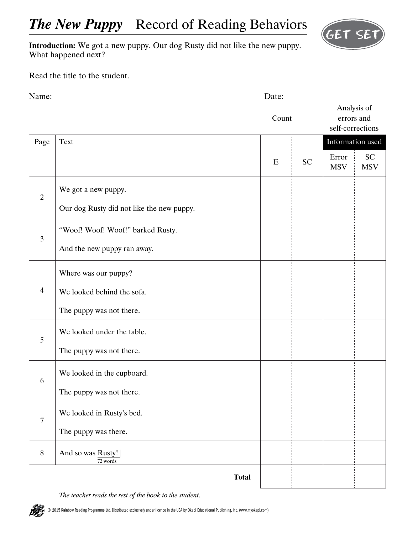

**Introduction:** We got a new puppy. Our dog Rusty did not like the new puppy. What happened next?

Read the title to the student.

| Name:          |                                           | Date: |           |                     |                                               |  |
|----------------|-------------------------------------------|-------|-----------|---------------------|-----------------------------------------------|--|
|                |                                           | Count |           |                     | Analysis of<br>errors and<br>self-corrections |  |
| Page           | Text                                      |       |           | Information used    |                                               |  |
|                |                                           | E     | <b>SC</b> | Error<br><b>MSV</b> | <b>SC</b><br><b>MSV</b>                       |  |
| $\overline{2}$ | We got a new puppy.                       |       |           |                     |                                               |  |
|                | Our dog Rusty did not like the new puppy. |       |           |                     |                                               |  |
| $\mathfrak{Z}$ | "Woof! Woof! Woof!" barked Rusty.         |       |           |                     |                                               |  |
|                | And the new puppy ran away.               |       |           |                     |                                               |  |
| $\overline{4}$ | Where was our puppy?                      |       |           |                     |                                               |  |
|                | We looked behind the sofa.                |       |           |                     |                                               |  |
|                | The puppy was not there.                  |       |           |                     |                                               |  |
| 5              | We looked under the table.                |       |           |                     |                                               |  |
|                | The puppy was not there.                  |       |           |                     |                                               |  |
| 6              | We looked in the cupboard.                |       |           |                     |                                               |  |
|                | The puppy was not there.                  |       |           |                     |                                               |  |
| $\overline{7}$ | We looked in Rusty's bed.                 |       |           |                     |                                               |  |
|                | The puppy was there.                      |       |           |                     |                                               |  |
| $8\,$          | And so was Rusty!<br>72 words             |       |           |                     |                                               |  |
|                | <b>Total</b>                              |       |           |                     |                                               |  |

*The teacher reads the rest of the book to the student*.